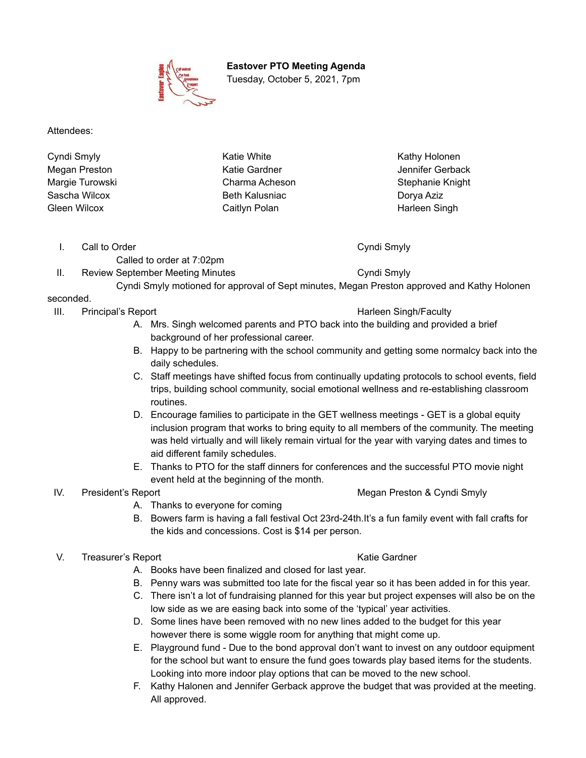**Eastover PTO Meeting Agenda**

Tuesday, October 5, 2021, 7pm

Attendees:

Cyndi Smyly Megan Preston Margie Turowski Sascha Wilcox Gleen Wilcox

Katie White Katie Gardner Charma Acheson Beth Kalusniac Caitlyn Polan

Kathy Holonen Jennifer Gerback Stephanie Knight Dorya Aziz Harleen Singh

I. Call to Order Cyndi Smyly

Called to order at 7:02pm II. Review September Meeting Minutes Cyndi Smyly

Cyndi Smyly motioned for approval of Sept minutes, Megan Preston approved and Kathy Holonen

# seconded.

III. Principal's Report **Harleen Singh/Faculty Harleen Singh/Faculty** 

- A. Mrs. Singh welcomed parents and PTO back into the building and provided a brief background of her professional career.
- B. Happy to be partnering with the school community and getting some normalcy back into the daily schedules.
- C. Staff meetings have shifted focus from continually updating protocols to school events, field trips, building school community, social emotional wellness and re-establishing classroom routines.
- D. Encourage families to participate in the GET wellness meetings GET is a global equity inclusion program that works to bring equity to all members of the community. The meeting was held virtually and will likely remain virtual for the year with varying dates and times to aid different family schedules.
- E. Thanks to PTO for the staff dinners for conferences and the successful PTO movie night event held at the beginning of the month.

# IV. President's Report **Megan President's Report** According to the Megan Preston & Cyndi Smyly

- A. Thanks to everyone for coming
- B. Bowers farm is having a fall festival Oct 23rd-24th.It's a fun family event with fall crafts for the kids and concessions. Cost is \$14 per person.

# V. Treasurer's Report New York Care Katie Gardner

- A. Books have been finalized and closed for last year.
- B. Penny wars was submitted too late for the fiscal year so it has been added in for this year.
- C. There isn't a lot of fundraising planned for this year but project expenses will also be on the low side as we are easing back into some of the 'typical' year activities.
- D. Some lines have been removed with no new lines added to the budget for this year however there is some wiggle room for anything that might come up.
- E. Playground fund Due to the bond approval don't want to invest on any outdoor equipment for the school but want to ensure the fund goes towards play based items for the students. Looking into more indoor play options that can be moved to the new school.
- F. Kathy Halonen and Jennifer Gerback approve the budget that was provided at the meeting. All approved.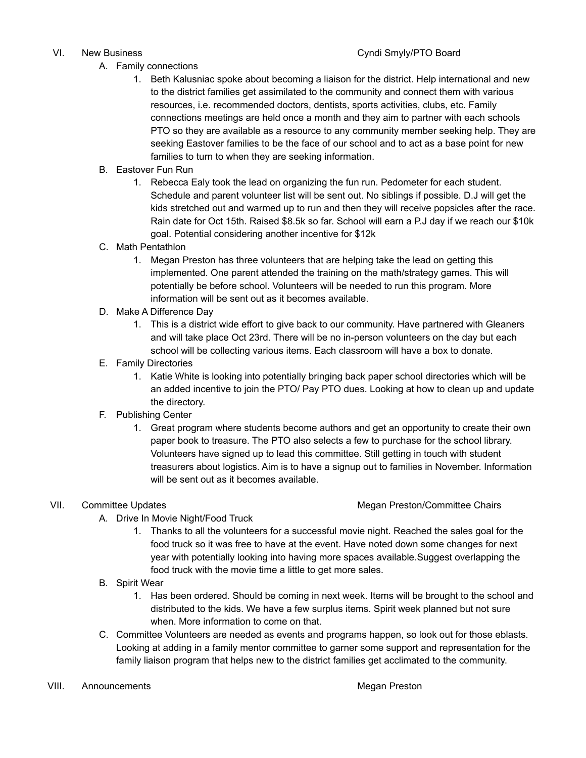# VI. New Business **Cyndi Smyly/PTO Board** Number 2014

- A. Family connections
	- 1. Beth Kalusniac spoke about becoming a liaison for the district. Help international and new to the district families get assimilated to the community and connect them with various resources, i.e. recommended doctors, dentists, sports activities, clubs, etc. Family connections meetings are held once a month and they aim to partner with each schools PTO so they are available as a resource to any community member seeking help. They are seeking Eastover families to be the face of our school and to act as a base point for new families to turn to when they are seeking information.
- B. Eastover Fun Run
	- 1. Rebecca Ealy took the lead on organizing the fun run. Pedometer for each student. Schedule and parent volunteer list will be sent out. No siblings if possible. D.J will get the kids stretched out and warmed up to run and then they will receive popsicles after the race. Rain date for Oct 15th. Raised \$8.5k so far. School will earn a P.J day if we reach our \$10k goal. Potential considering another incentive for \$12k
- C. Math Pentathlon
	- 1. Megan Preston has three volunteers that are helping take the lead on getting this implemented. One parent attended the training on the math/strategy games. This will potentially be before school. Volunteers will be needed to run this program. More information will be sent out as it becomes available.
- D. Make A Difference Day
	- 1. This is a district wide effort to give back to our community. Have partnered with Gleaners and will take place Oct 23rd. There will be no in-person volunteers on the day but each school will be collecting various items. Each classroom will have a box to donate.
- E. Family Directories
	- 1. Katie White is looking into potentially bringing back paper school directories which will be an added incentive to join the PTO/ Pay PTO dues. Looking at how to clean up and update the directory.
- F. Publishing Center
	- 1. Great program where students become authors and get an opportunity to create their own paper book to treasure. The PTO also selects a few to purchase for the school library. Volunteers have signed up to lead this committee. Still getting in touch with student treasurers about logistics. Aim is to have a signup out to families in November. Information will be sent out as it becomes available.

### VII. Committee Updates Megan Preston/Committee Chairs

- A. Drive In Movie Night/Food Truck
	- 1. Thanks to all the volunteers for a successful movie night. Reached the sales goal for the food truck so it was free to have at the event. Have noted down some changes for next year with potentially looking into having more spaces available.Suggest overlapping the food truck with the movie time a little to get more sales.
- B. Spirit Wear
	- 1. Has been ordered. Should be coming in next week. Items will be brought to the school and distributed to the kids. We have a few surplus items. Spirit week planned but not sure when. More information to come on that.
- C. Committee Volunteers are needed as events and programs happen, so look out for those eblasts. Looking at adding in a family mentor committee to garner some support and representation for the family liaison program that helps new to the district families get acclimated to the community.
- VIII. Announcements and a state of the Megan Preston and American Megan Preston